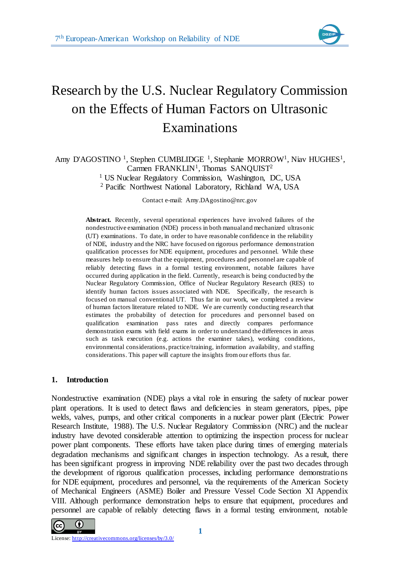

# Research by the U.S. Nuclear Regulatory Commission on the Effects of Human Factors on Ultrasonic Examinations

# Amy D'AGOSTINO<sup>1</sup>, Stephen CUMBLIDGE<sup>1</sup>, Stephanie MORROW<sup>1</sup>, Niav HUGHES<sup>1</sup>, Carmen FRANKLIN<sup>1</sup>, Thomas SANQUIST<sup>2</sup> <sup>1</sup> US Nuclear Regulatory Commission, Washington, DC, USA

<sup>2</sup> Pacific Northwest National Laboratory, Richland WA, USA

Contact e-mail: Amy.DAgostino@nrc.gov

**Abstract.** Recently, several operational experiences have involved failures of the nondestructive examination (NDE) process in both manual and mechanized ultrasonic (UT) examinations. To date, in order to have reasonable confidence in the reliability of NDE, industry and the NRC have focused on rigorous performance demonstration qualification processes for NDE equipment, procedures and personnel. While these measures help to ensure that the equipment, procedures and personnel are capable of reliably detecting flaws in a formal testing environment, notable failures have occurred during application in the field. Currently, research is being conducted by the Nuclear Regulatory Commission, Office of Nuclear Regulatory Research (RES) to identify human factors issues associated with NDE. Specifically, the research is focused on manual conventional UT. Thus far in our work, we completed a review of human factors literature related to NDE. We are currently conducting research that estimates the probability of detection for procedures and personnel based on qualification examination pass rates and directly compares performance demonstration exams with field exams in order to understand the differences in areas such as task execution (e.g. actions the examiner takes), working conditions, environmental considerations, practice/training, information availability, and staffing considerations. This paper will capture the insights from our efforts thus far.

# **1. Introduction**

Nondestructive examination (NDE) plays a vital role in ensuring the safety of nuclear power plant operations. It is used to detect flaws and deficiencies in steam generators, pipes, pipe welds, valves, pumps, and other critical components in a nuclear power plant (Electric Power Research Institute, 1988). The U.S. Nuclear Regulatory Commission (NRC) and the nuclear industry have devoted considerable attention to optimizing the inspection process for nuclear power plant components. These efforts have taken place during times of emerging materials degradation mechanisms and significant changes in inspection technology. As a result, there has been significant progress in improving NDE reliability over the past two decades through the development of rigorous qualification processes, including performance demonstrations for NDE equipment, procedures and personnel, via the requirements of the American Society of Mechanical Engineers (ASME) Boiler and Pressure Vessel Code Section XI Appendix VIII. Although performance demonstration helps to ensure that equipment, procedures and personnel are capable of reliably detecting flaws in a formal testing environment, notable

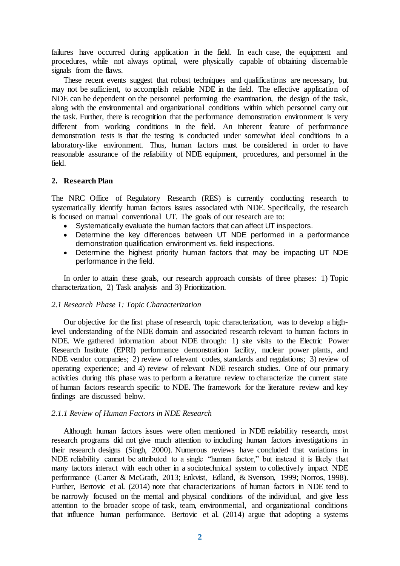failures have occurred during application in the field. In each case, the equipment and procedures, while not always optimal, were physically capable of obtaining discernable signals from the flaws.

These recent events suggest that robust techniques and qualifications are necessary, but may not be sufficient, to accomplish reliable NDE in the field. The effective application of NDE can be dependent on the personnel performing the examination, the design of the task, along with the environmental and organizational conditions within which personnel carry out the task. Further, there is recognition that the performance demonstration environment is very different from working conditions in the field. An inherent feature of performance demonstration tests is that the testing is conducted under somewhat ideal conditions in a laboratory-like environment. Thus, human factors must be considered in order to have reasonable assurance of the reliability of NDE equipment, procedures, and personnel in the field.

## **2. Research Plan**

The NRC Office of Regulatory Research (RES) is currently conducting research to systematically identify human factors issues associated with NDE. Specifically, the research is focused on manual conventional UT. The goals of our research are to:

- Systematically evaluate the human factors that can affect UT inspectors.
- Determine the key differences between UT NDE performed in a performance demonstration qualification environment vs. field inspections.
- Determine the highest priority human factors that may be impacting UT NDE performance in the field.

In order to attain these goals, our research approach consists of three phases: 1) Topic characterization, 2) Task analysis and 3) Prioritization.

## *2.1 Research Phase 1: Topic Characterization*

Our objective for the first phase of research, topic characterization, was to develop a highlevel understanding of the NDE domain and associated research relevant to human factors in NDE. We gathered information about NDE through: 1) site visits to the Electric Power Research Institute (EPRI) performance demonstration facility, nuclear power plants, and NDE vendor companies; 2) review of relevant codes, standards and regulations; 3) review of operating experience; and 4) review of relevant NDE research studies. One of our primary activities during this phase was to perform a literature review to characterize the current state of human factors research specific to NDE. The framework for the literature review and key findings are discussed below.

# *2.1.1 Review of Human Factors in NDE Research*

Although human factors issues were often mentioned in NDE reliability research, most research programs did not give much attention to including human factors investigations in their research designs (Singh, 2000). Numerous reviews have concluded that variations in NDE reliability cannot be attributed to a single "human factor," but instead it is likely that many factors interact with each other in a sociotechnical system to collectively impact NDE performance (Carter & McGrath, 2013; Enkvist, Edland, & Svenson, 1999; Norros, 1998). Further, Bertovic et al. (2014) note that characterizations of human factors in NDE tend to be narrowly focused on the mental and physical conditions of the individual, and give less attention to the broader scope of task, team, environmental, and organizational conditions that influence human performance. Bertovic et al. (2014) argue that adopting a systems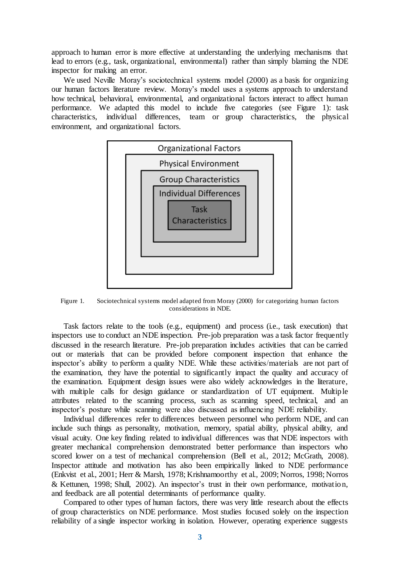approach to human error is more effective at understanding the underlying mechanisms that lead to errors (e.g., task, organizational, environmental) rather than simply blaming the NDE inspector for making an error.

We used Neville Moray's sociotechnical systems model (2000) as a basis for organizing our human factors literature review. Moray's model uses a systems approach to understand how technical, behavioral, environmental, and organizational factors interact to affect human performance. We adapted this model to include five categories (see Figure 1): task characteristics, individual differences, team or group characteristics, the physical environment, and organizational factors.



Figure 1. Sociotechnical systems model adapted from Moray (2000) for categorizing human factors considerations in NDE.

Task factors relate to the tools (e.g., equipment) and process (i.e., task execution) that inspectors use to conduct an NDE inspection. Pre-job preparation was a task factor frequently discussed in the research literature. Pre-job preparation includes activities that can be carried out or materials that can be provided before component inspection that enhance the inspector's ability to perform a quality NDE. While these activities/materials are not part of the examination, they have the potential to significantly impact the quality and accuracy of the examination. Equipment design issues were also widely acknowledges in the literature, with multiple calls for design guidance or standardization of UT equipment. Multiple attributes related to the scanning process, such as scanning speed, technical, and an inspector's posture while scanning were also discussed as influencing NDE reliability.

Individual differences refer to differences between personnel who perform NDE, and can include such things as personality, motivation, memory, spatial ability, physical ability, and visual acuity. One key finding related to individual differences was that NDE inspectors with greater mechanical comprehension demonstrated better performance than inspectors who scored lower on a test of mechanical comprehension (Bell et al., 2012; McGrath, 2008). Inspector attitude and motivation has also been empirically linked to NDE performance (Enkvist et al., 2001; Herr & Marsh, 1978; Krishnamoorthy et al., 2009; Norros, 1998; Norros & Kettunen, 1998; Shull, 2002). An inspector's trust in their own performance, motivation, and feedback are all potential determinants of performance quality.

Compared to other types of human factors, there was very little research about the effects of group characteristics on NDE performance. Most studies focused solely on the inspection reliability of a single inspector working in isolation. However, operating experience suggests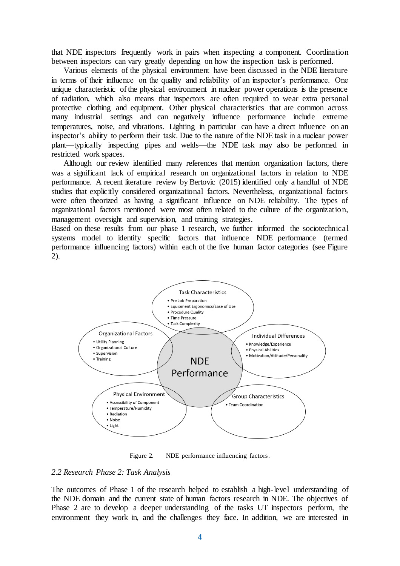that NDE inspectors frequently work in pairs when inspecting a component. Coordination between inspectors can vary greatly depending on how the inspection task is performed.

Various elements of the physical environment have been discussed in the NDE literature in terms of their influence on the quality and reliability of an inspector's performance. One unique characteristic of the physical environment in nuclear power operations is the presence of radiation, which also means that inspectors are often required to wear extra personal protective clothing and equipment. Other physical characteristics that are common across many industrial settings and can negatively influence performance include extreme temperatures, noise, and vibrations. Lighting in particular can have a direct influence on an inspector's ability to perform their task. Due to the nature of the NDE task in a nuclear power plant—typically inspecting pipes and welds—the NDE task may also be performed in restricted work spaces.

Although our review identified many references that mention organization factors, there was a significant lack of empirical research on organizational factors in relation to NDE performance. A recent literature review by Bertovic (2015) identified only a handful of NDE studies that explicitly considered organizational factors. Nevertheless, organizational factors were often theorized as having a significant influence on NDE reliability. The types of organizational factors mentioned were most often related to the culture of the organization, management oversight and supervision, and training strategies.

Based on these results from our phase 1 research, we further informed the sociotechnical systems model to identify specific factors that influence NDE performance (termed performance influencing factors) within each of the five human factor categories (see Figure 2).



Figure 2. NDE performance influencing factors.

#### *2.2 Research Phase 2: Task Analysis*

The outcomes of Phase 1 of the research helped to establish a high-level understanding of the NDE domain and the current state of human factors research in NDE. The objectives of Phase 2 are to develop a deeper understanding of the tasks UT inspectors perform, the environment they work in, and the challenges they face. In addition, we are interested in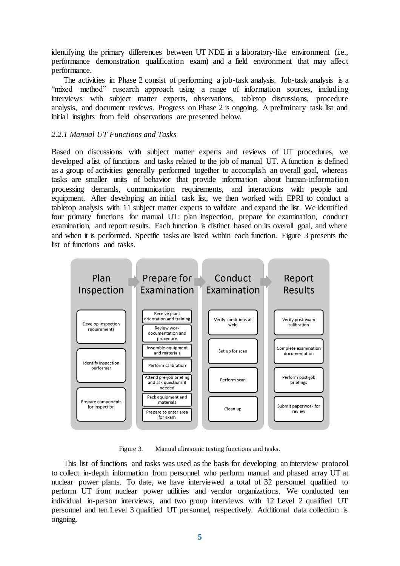identifying the primary differences between UT NDE in a laboratory-like environment (i.e., performance demonstration qualification exam) and a field environment that may affect performance.

The activities in Phase 2 consist of performing a job-task analysis. Job-task analysis is a "mixed method" research approach using a range of information sources, including interviews with subject matter experts, observations, tabletop discussions, procedure analysis, and document reviews. Progress on Phase 2 is ongoing. A preliminary task list and initial insights from field observations are presented below.

# *2.2.1 Manual UT Functions and Tasks*

Based on discussions with subject matter experts and reviews of UT procedures, we developed a list of functions and tasks related to the job of manual UT. A function is defined as a group of activities generally performed together to accomplish an overall goal, whereas tasks are smaller units of behavior that provide information about human-information processing demands, communication requirements, and interactions with people and equipment. After developing an initial task list, we then worked with EPRI to conduct a tabletop analysis with 11 subject matter experts to validate and expand the list. We identified four primary functions for manual UT: plan inspection, prepare for examination, conduct examination, and report results. Each function is distinct based on its overall goal, and where and when it is performed. Specific tasks are listed within each function. Figure 3 presents the list of functions and tasks.



Figure 3. Manual ultrasonic testing functions and tasks.

This list of functions and tasks was used as the basis for developing an interview protocol to collect in-depth information from personnel who perform manual and phased array UT at nuclear power plants. To date, we have interviewed a total of 32 personnel qualified to perform UT from nuclear power utilities and vendor organizations. We conducted ten individual in-person interviews, and two group interviews with 12 Level 2 qualified UT personnel and ten Level 3 qualified UT personnel, respectively. Additional data collection is ongoing.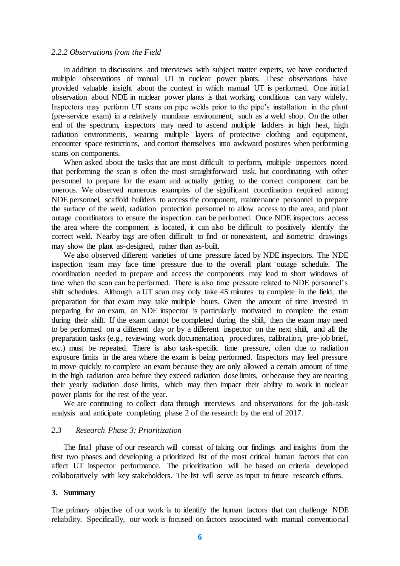#### *2.2.2 Observations from the Field*

In addition to discussions and interviews with subject matter experts, we have conducted multiple observations of manual UT in nuclear power plants. These observations have provided valuable insight about the context in which manual UT is performed. One initial observation about NDE in nuclear power plants is that working conditions can vary widely. Inspectors may perform UT scans on pipe welds prior to the pipe's installation in the plant (pre-service exam) in a relatively mundane environment, such as a weld shop. On the other end of the spectrum, inspectors may need to ascend multiple ladders in high heat, high radiation environments, wearing multiple layers of protective clothing and equipment, encounter space restrictions, and contort themselves into awkward postures when performing scans on components.

When asked about the tasks that are most difficult to perform, multiple inspectors noted that performing the scan is often the most straightforward task, but coordinating with other personnel to prepare for the exam and actually getting to the correct component can be onerous. We observed numerous examples of the significant coordination required among NDE personnel, scaffold builders to access the component, maintenance personnel to prepare the surface of the weld, radiation protection personnel to allow access to the area, and plant outage coordinators to ensure the inspection can be performed. Once NDE inspectors access the area where the component is located, it can also be difficult to positively identify the correct weld. Nearby tags are often difficult to find or nonexistent, and isometric drawings may show the plant as-designed, rather than as-built.

We also observed different varieties of time pressure faced by NDE inspectors. The NDE inspection team may face time pressure due to the overall plant outage schedule. The coordination needed to prepare and access the components may lead to short windows of time when the scan can be performed. There is also time pressure related to NDE personnel's shift schedules. Although a UT scan may only take 45 minutes to complete in the field, the preparation for that exam may take multiple hours. Given the amount of time invested in preparing for an exam, an NDE inspector is particularly motivated to complete the exam during their shift. If the exam cannot be completed during the shift, then the exam may need to be performed on a different day or by a different inspector on the next shift, and all the preparation tasks (e.g., reviewing work documentation, procedures, calibration, pre-job brief, etc.) must be repeated. There is also task-specific time pressure, often due to radiation exposure limits in the area where the exam is being performed. Inspectors may feel pressure to move quickly to complete an exam because they are only allowed a certain amount of time in the high radiation area before they exceed radiation dose limits, or because they are nearing their yearly radiation dose limits, which may then impact their ability to work in nuclear power plants for the rest of the year.

We are continuing to collect data through interviews and observations for the job-task analysis and anticipate completing phase 2 of the research by the end of 2017.

## *2.3 Research Phase 3: Prioritization*

The final phase of our research will consist of taking our findings and insights from the first two phases and developing a prioritized list of the most critical human factors that can affect UT inspector performance. The prioritization will be based on criteria developed collaboratively with key stakeholders. The list will serve as input to future research efforts.

## **3. Summary**

The primary objective of our work is to identify the human factors that can challenge NDE reliability. Specifically, our work is focused on factors associated with manual conventional